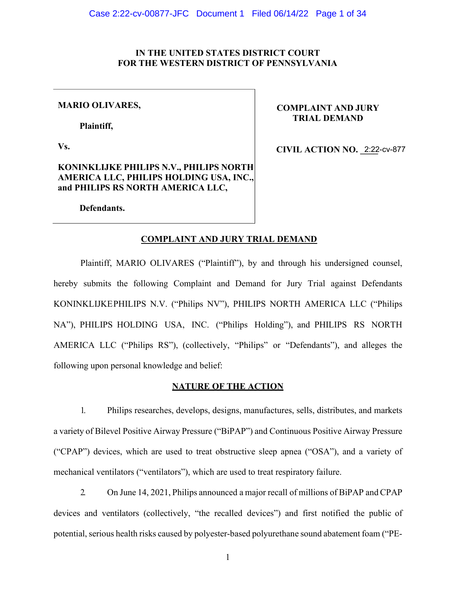## **IN THE UNITED STATES DISTRICT COURT FOR THE WESTERN DISTRICT OF PENNSYLVANIA**

#### **MARIO OLIVARES,**

**Plaintiff,** 

**Vs.**

# **COMPLAINT AND JURY TRIAL DEMAND**

**CIVIL ACTION NO. 2:22-cv-877** 

# **KONINKLIJKE PHILIPS N.V., PHILIPS NORTH AMERICA LLC, PHILIPS HOLDING USA, INC., and PHILIPS RS NORTH AMERICA LLC,**

**Defendants.**

# **COMPLAINT AND JURY TRIAL DEMAND**

Plaintiff, MARIO OLIVARES ("Plaintiff"), by and through his undersigned counsel, hereby submits the following Complaint and Demand for Jury Trial against Defendants KONINKLIJKEPHILIPS N.V. ("Philips NV"), PHILIPS NORTH AMERICA LLC ("Philips NA"), PHILIPS HOLDING USA, INC. ("Philips Holding"), and PHILIPS RS NORTH AMERICA LLC ("Philips RS"), (collectively, "Philips" or "Defendants"), and alleges the following upon personal knowledge and belief:

## **NATURE OF THE ACTION**

1. Philips researches, develops, designs, manufactures, sells, distributes, and markets a variety of Bilevel Positive Airway Pressure ("BiPAP") and Continuous Positive Airway Pressure ("CPAP") devices, which are used to treat obstructive sleep apnea ("OSA"), and a variety of mechanical ventilators ("ventilators"), which are used to treat respiratory failure.

2. On June 14, 2021, Philips announced a major recall of millions of BiPAP and CPAP devices and ventilators (collectively, "the recalled devices") and first notified the public of potential, serious health risks caused by polyester-based polyurethane sound abatement foam ("PE-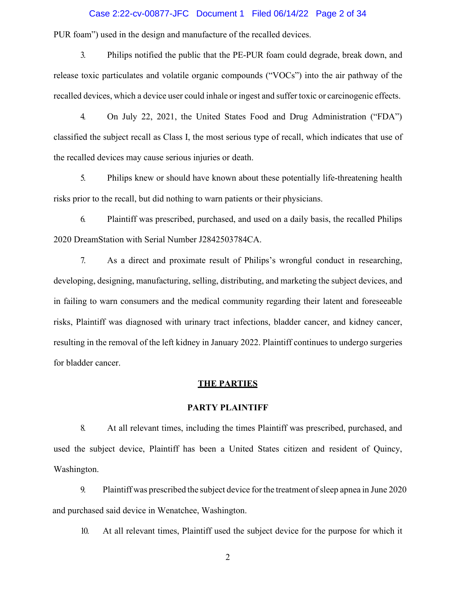#### Case 2:22-cv-00877-JFC Document 1 Filed 06/14/22 Page 2 of 34

PUR foam") used in the design and manufacture of the recalled devices.

3. Philips notified the public that the PE-PUR foam could degrade, break down, and release toxic particulates and volatile organic compounds ("VOCs") into the air pathway of the recalled devices, which a device user could inhale or ingest and suffer toxic or carcinogenic effects.

4. On July 22, 2021, the United States Food and Drug Administration ("FDA") classified the subject recall as Class I, the most serious type of recall, which indicates that use of the recalled devices may cause serious injuries or death.

5. Philips knew or should have known about these potentially life-threatening health risks prior to the recall, but did nothing to warn patients or their physicians.

6. Plaintiff was prescribed, purchased, and used on a daily basis, the recalled Philips 2020 DreamStation with Serial Number J2842503784CA.

7. As a direct and proximate result of Philips's wrongful conduct in researching, developing, designing, manufacturing, selling, distributing, and marketing the subject devices, and in failing to warn consumers and the medical community regarding their latent and foreseeable risks, Plaintiff was diagnosed with urinary tract infections, bladder cancer, and kidney cancer, resulting in the removal of the left kidney in January 2022. Plaintiff continues to undergo surgeries for bladder cancer.

#### **THE PARTIES**

#### **PARTY PLAINTIFF**

8. At all relevant times, including the times Plaintiff was prescribed, purchased, and used the subject device, Plaintiff has been a United States citizen and resident of Quincy, Washington.

9. Plaintiff was prescribed the subject device forthe treatment ofsleep apnea in June 2020 and purchased said device in Wenatchee, Washington.

10. At all relevant times, Plaintiff used the subject device for the purpose for which it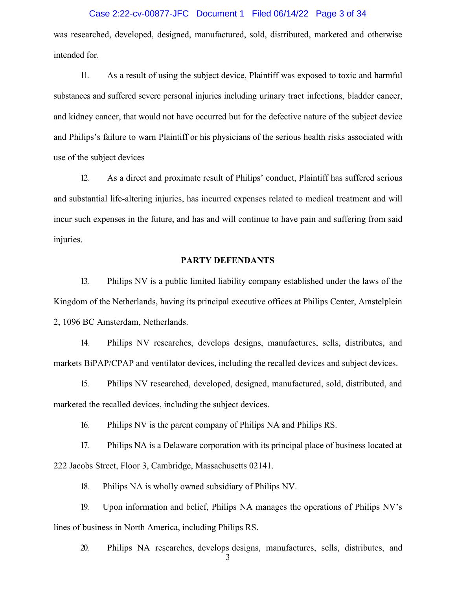## Case 2:22-cv-00877-JFC Document 1 Filed 06/14/22 Page 3 of 34

was researched, developed, designed, manufactured, sold, distributed, marketed and otherwise intended for.

11. As a result of using the subject device, Plaintiff was exposed to toxic and harmful substances and suffered severe personal injuries including urinary tract infections, bladder cancer, and kidney cancer, that would not have occurred but for the defective nature of the subject device and Philips's failure to warn Plaintiff or his physicians of the serious health risks associated with use of the subject devices

12. As a direct and proximate result of Philips' conduct, Plaintiff has suffered serious and substantial life-altering injuries, has incurred expenses related to medical treatment and will incur such expenses in the future, and has and will continue to have pain and suffering from said injuries.

#### **PARTY DEFENDANTS**

13. Philips NV is a public limited liability company established under the laws of the Kingdom of the Netherlands, having its principal executive offices at Philips Center, Amstelplein 2, 1096 BC Amsterdam, Netherlands.

14. Philips NV researches, develops designs, manufactures, sells, distributes, and markets BiPAP/CPAP and ventilator devices, including the recalled devices and subject devices.

15. Philips NV researched, developed, designed, manufactured, sold, distributed, and marketed the recalled devices, including the subject devices.

16. Philips NV is the parent company of Philips NA and Philips RS.

17. Philips NA is a Delaware corporation with its principal place of business located at 222 Jacobs Street, Floor 3, Cambridge, Massachusetts 02141.

18. Philips NA is wholly owned subsidiary of Philips NV.

19. Upon information and belief, Philips NA manages the operations of Philips NV's lines of business in North America, including Philips RS.

20. Philips NA researches, develops designs, manufactures, sells, distributes, and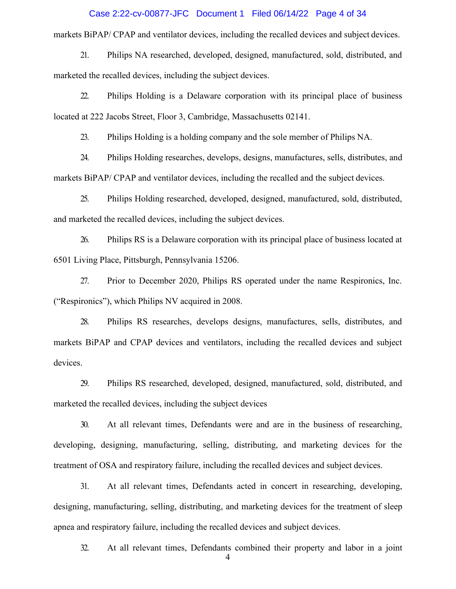#### Case 2:22-cv-00877-JFC Document 1 Filed 06/14/22 Page 4 of 34

markets BiPAP/ CPAP and ventilator devices, including the recalled devices and subject devices.

21. Philips NA researched, developed, designed, manufactured, sold, distributed, and marketed the recalled devices, including the subject devices.

22. Philips Holding is a Delaware corporation with its principal place of business located at 222 Jacobs Street, Floor 3, Cambridge, Massachusetts 02141.

23. Philips Holding is a holding company and the sole member of Philips NA.

24. Philips Holding researches, develops, designs, manufactures, sells, distributes, and markets BiPAP/ CPAP and ventilator devices, including the recalled and the subject devices.

25. Philips Holding researched, developed, designed, manufactured, sold, distributed, and marketed the recalled devices, including the subject devices.

26. Philips RS is a Delaware corporation with its principal place of business located at 6501 Living Place, Pittsburgh, Pennsylvania 15206.

27. Prior to December 2020, Philips RS operated under the name Respironics, Inc. ("Respironics"), which Philips NV acquired in 2008.

28. Philips RS researches, develops designs, manufactures, sells, distributes, and markets BiPAP and CPAP devices and ventilators, including the recalled devices and subject devices.

29. Philips RS researched, developed, designed, manufactured, sold, distributed, and marketed the recalled devices, including the subject devices

30. At all relevant times, Defendants were and are in the business of researching, developing, designing, manufacturing, selling, distributing, and marketing devices for the treatment of OSA and respiratory failure, including the recalled devices and subject devices.

31. At all relevant times, Defendants acted in concert in researching, developing, designing, manufacturing, selling, distributing, and marketing devices for the treatment of sleep apnea and respiratory failure, including the recalled devices and subject devices.

32. At all relevant times, Defendants combined their property and labor in a joint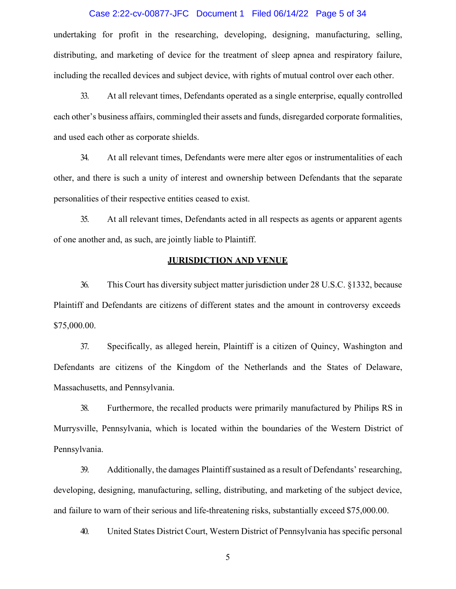#### Case 2:22-cv-00877-JFC Document 1 Filed 06/14/22 Page 5 of 34

undertaking for profit in the researching, developing, designing, manufacturing, selling, distributing, and marketing of device for the treatment of sleep apnea and respiratory failure, including the recalled devices and subject device, with rights of mutual control over each other.

33. At all relevant times, Defendants operated as a single enterprise, equally controlled each other's business affairs, commingled their assets and funds, disregarded corporate formalities, and used each other as corporate shields.

34. At all relevant times, Defendants were mere alter egos or instrumentalities of each other, and there is such a unity of interest and ownership between Defendants that the separate personalities of their respective entities ceased to exist.

35. At all relevant times, Defendants acted in all respects as agents or apparent agents of one another and, as such, are jointly liable to Plaintiff.

## **JURISDICTION AND VENUE**

36. This Court has diversity subject matter jurisdiction under 28 U.S.C. §1332, because Plaintiff and Defendants are citizens of different states and the amount in controversy exceeds \$75,000.00.

37. Specifically, as alleged herein, Plaintiff is a citizen of Quincy, Washington and Defendants are citizens of the Kingdom of the Netherlands and the States of Delaware, Massachusetts, and Pennsylvania.

38. Furthermore, the recalled products were primarily manufactured by Philips RS in Murrysville, Pennsylvania, which is located within the boundaries of the Western District of Pennsylvania.

39. Additionally, the damages Plaintiffsustained as a result of Defendants' researching, developing, designing, manufacturing, selling, distributing, and marketing of the subject device, and failure to warn of their serious and life-threatening risks, substantially exceed \$75,000.00.

40. United States District Court, Western District of Pennsylvania has specific personal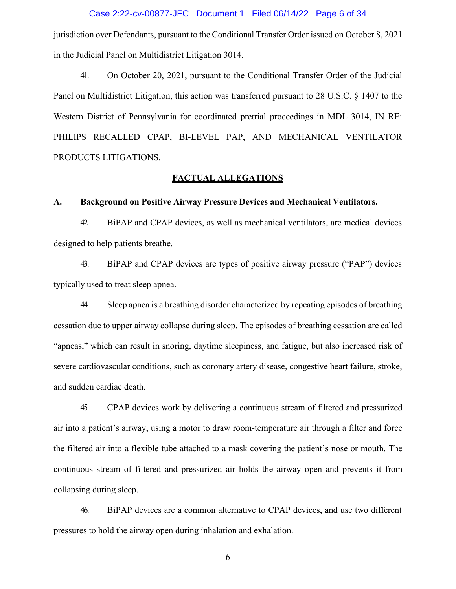#### Case 2:22-cv-00877-JFC Document 1 Filed 06/14/22 Page 6 of 34

jurisdiction over Defendants, pursuant to the Conditional Transfer Order issued on October 8, 2021 in the Judicial Panel on Multidistrict Litigation 3014.

41. On October 20, 2021, pursuant to the Conditional Transfer Order of the Judicial Panel on Multidistrict Litigation, this action was transferred pursuant to 28 U.S.C. § 1407 to the Western District of Pennsylvania for coordinated pretrial proceedings in MDL 3014, IN RE: PHILIPS RECALLED CPAP, BI-LEVEL PAP, AND MECHANICAL VENTILATOR PRODUCTS LITIGATIONS.

### **FACTUAL ALLEGATIONS**

#### **A. Background on Positive Airway Pressure Devices and Mechanical Ventilators.**

42. BiPAP and CPAP devices, as well as mechanical ventilators, are medical devices designed to help patients breathe.

43. BiPAP and CPAP devices are types of positive airway pressure ("PAP") devices typically used to treat sleep apnea.

44. Sleep apnea is a breathing disorder characterized by repeating episodes of breathing cessation due to upper airway collapse during sleep. The episodes of breathing cessation are called "apneas," which can result in snoring, daytime sleepiness, and fatigue, but also increased risk of severe cardiovascular conditions, such as coronary artery disease, congestive heart failure, stroke, and sudden cardiac death.

45. CPAP devices work by delivering a continuous stream of filtered and pressurized air into a patient's airway, using a motor to draw room-temperature air through a filter and force the filtered air into a flexible tube attached to a mask covering the patient's nose or mouth. The continuous stream of filtered and pressurized air holds the airway open and prevents it from collapsing during sleep.

46. BiPAP devices are a common alternative to CPAP devices, and use two different pressures to hold the airway open during inhalation and exhalation.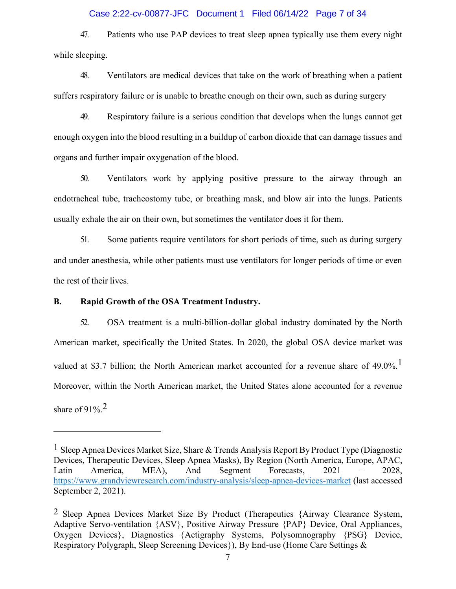## Case 2:22-cv-00877-JFC Document 1 Filed 06/14/22 Page 7 of 34

47. Patients who use PAP devices to treat sleep apnea typically use them every night while sleeping.

48. Ventilators are medical devices that take on the work of breathing when a patient suffers respiratory failure or is unable to breathe enough on their own, such as during surgery

49. Respiratory failure is a serious condition that develops when the lungs cannot get enough oxygen into the blood resulting in a buildup of carbon dioxide that can damage tissues and organs and further impair oxygenation of the blood.

50. Ventilators work by applying positive pressure to the airway through an endotracheal tube, tracheostomy tube, or breathing mask, and blow air into the lungs. Patients usually exhale the air on their own, but sometimes the ventilator does it for them.

51. Some patients require ventilators for short periods of time, such as during surgery and under anesthesia, while other patients must use ventilators for longer periods of time or even the rest of their lives.

#### **B. Rapid Growth of the OSA Treatment Industry.**

52. OSA treatment is a multi-billion-dollar global industry dominated by the North American market, specifically the United States. In 2020, the global OSA device market was valued at \$3.7 billion; the North American market accounted for a revenue share of 49.0%.<sup>[1](#page-6-0)</sup> Moreover, within the North American market, the United States alone accounted for a revenue share of  $91\%$ <sup>2</sup>

<span id="page-6-0"></span><sup>1</sup> Sleep Apnea Devices Market Size, Share & Trends Analysis Report By Product Type (Diagnostic Devices, Therapeutic Devices, Sleep Apnea Masks), By Region (North America, Europe, APAC, Latin America, MEA), And Segment Forecasts, 2021 – 2028, <https://www.grandviewresearch.com/industry-analysis/sleep-apnea-devices-market> (last accessed September 2, 2021).

<span id="page-6-1"></span><sup>2</sup> Sleep Apnea Devices Market Size By Product (Therapeutics {Airway Clearance System, Adaptive Servo-ventilation {ASV}, Positive Airway Pressure {PAP} Device, Oral Appliances, Oxygen Devices}, Diagnostics {Actigraphy Systems, Polysomnography {PSG} Device, Respiratory Polygraph, Sleep Screening Devices}), By End-use (Home Care Settings &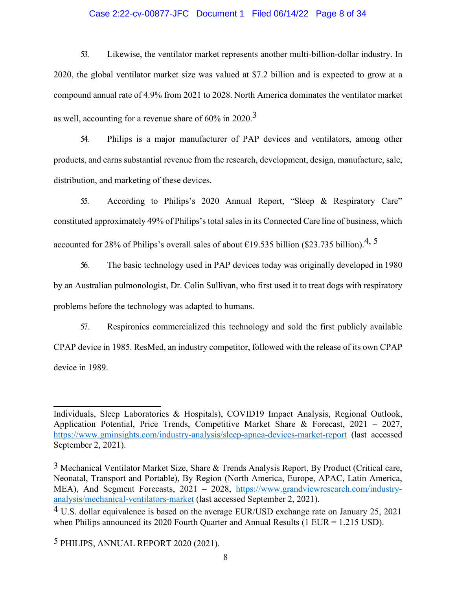### Case 2:22-cv-00877-JFC Document 1 Filed 06/14/22 Page 8 of 34

53. Likewise, the ventilator market represents another multi-billion-dollar industry. In 2020, the global ventilator market size was valued at \$7.2 billion and is expected to grow at a compound annual rate of 4.9% from 2021 to 2028. North America dominates the ventilator market as well, accounting for a revenue share of  $60\%$  in 2020.<sup>3</sup>

54. Philips is a major manufacturer of PAP devices and ventilators, among other products, and earns substantial revenue from the research, development, design, manufacture, sale, distribution, and marketing of these devices.

55. According to Philips's 2020 Annual Report, "Sleep & Respiratory Care" constituted approximately 49% of Philips's total sales in its Connected Care line of business, which accounted for 28% of Philips's overall sales of about  $\epsilon$ 19.[5](#page-7-2)35 billion (\$23.735 billion).<sup>4, 5</sup>

56. The basic technology used in PAP devices today was originally developed in 1980 by an Australian pulmonologist, Dr. Colin Sullivan, who first used it to treat dogs with respiratory problems before the technology was adapted to humans.

57. Respironics commercialized this technology and sold the first publicly available CPAP device in 1985. ResMed, an industry competitor, followed with the release of its own CPAP device in 1989.

Individuals, Sleep Laboratories & Hospitals), COVID19 Impact Analysis, Regional Outlook, Application Potential, Price Trends, Competitive Market Share & Forecast, 2021 – 2027, <https://www.gminsights.com/industry-analysis/sleep-apnea-devices-market-report> (last accessed September 2, 2021).

<span id="page-7-0"></span> $3$  Mechanical Ventilator Market Size, Share & Trends Analysis Report, By Product (Critical care, Neonatal, Transport and Portable), By Region (North America, Europe, APAC, Latin America, MEA), And Segment Forecasts, 2021 – 2028, [https://www.grandviewresearch.com/industry](https://www.grandviewresearch.com/industry-analysis/mechanical-ventilators-market)[analysis/mechanical-ventilators-market](https://www.grandviewresearch.com/industry-analysis/mechanical-ventilators-market) (last accessed September 2, 2021).

<span id="page-7-1"></span> $4 \text{ U.S. dollar equivalence is based on the average EUR/USD exchange rate on January 25, 2021}$ when Philips announced its 2020 Fourth Quarter and Annual Results (1 EUR = 1.215 USD).

<span id="page-7-2"></span><sup>5</sup> PHILIPS, ANNUAL REPORT 2020 (2021).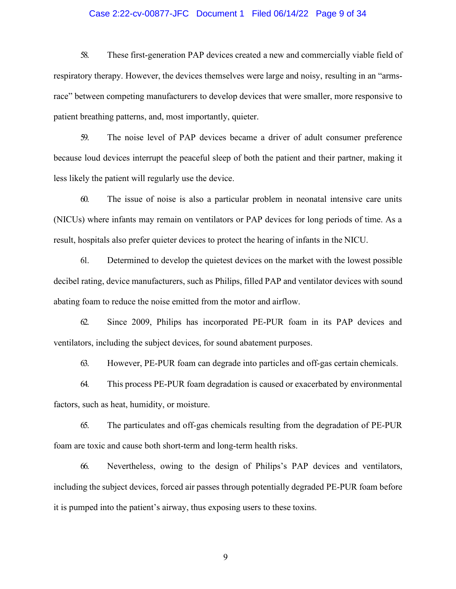#### Case 2:22-cv-00877-JFC Document 1 Filed 06/14/22 Page 9 of 34

58. These first-generation PAP devices created a new and commercially viable field of respiratory therapy. However, the devices themselves were large and noisy, resulting in an "armsrace" between competing manufacturers to develop devices that were smaller, more responsive to patient breathing patterns, and, most importantly, quieter.

59. The noise level of PAP devices became a driver of adult consumer preference because loud devices interrupt the peaceful sleep of both the patient and their partner, making it less likely the patient will regularly use the device.

60. The issue of noise is also a particular problem in neonatal intensive care units (NICUs) where infants may remain on ventilators or PAP devices for long periods of time. As a result, hospitals also prefer quieter devices to protect the hearing of infants in the NICU.

61. Determined to develop the quietest devices on the market with the lowest possible decibel rating, device manufacturers, such as Philips, filled PAP and ventilator devices with sound abating foam to reduce the noise emitted from the motor and airflow.

62. Since 2009, Philips has incorporated PE-PUR foam in its PAP devices and ventilators, including the subject devices, for sound abatement purposes.

63. However, PE-PUR foam can degrade into particles and off-gas certain chemicals.

64. This process PE-PUR foam degradation is caused or exacerbated by environmental factors, such as heat, humidity, or moisture.

65. The particulates and off-gas chemicals resulting from the degradation of PE-PUR foam are toxic and cause both short-term and long-term health risks.

66. Nevertheless, owing to the design of Philips's PAP devices and ventilators, including the subject devices, forced air passes through potentially degraded PE-PUR foam before it is pumped into the patient's airway, thus exposing users to these toxins.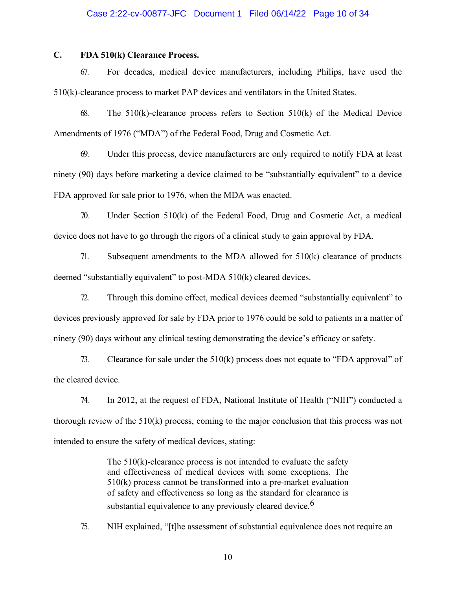## Case 2:22-cv-00877-JFC Document 1 Filed 06/14/22 Page 10 of 34

## **C. FDA 510(k) Clearance Process.**

67. For decades, medical device manufacturers, including Philips, have used the 510(k)-clearance process to market PAP devices and ventilators in the United States.

68. The 510(k)-clearance process refers to Section 510(k) of the Medical Device Amendments of 1976 ("MDA") of the Federal Food, Drug and Cosmetic Act.

69. Under this process, device manufacturers are only required to notify FDA at least ninety (90) days before marketing a device claimed to be "substantially equivalent" to a device FDA approved for sale prior to 1976, when the MDA was enacted.

70. Under Section 510(k) of the Federal Food, Drug and Cosmetic Act, a medical device does not have to go through the rigors of a clinical study to gain approval by FDA.

71. Subsequent amendments to the MDA allowed for 510(k) clearance of products deemed "substantially equivalent" to post-MDA 510(k) cleared devices.

72. Through this domino effect, medical devices deemed "substantially equivalent" to devices previously approved for sale by FDA prior to 1976 could be sold to patients in a matter of ninety (90) days without any clinical testing demonstrating the device's efficacy or safety.

73. Clearance for sale under the 510(k) process does not equate to "FDA approval" of the cleared device.

74. In 2012, at the request of FDA, National Institute of Health ("NIH") conducted a thorough review of the 510(k) process, coming to the major conclusion that this process was not intended to ensure the safety of medical devices, stating:

> The  $510(k)$ -clearance process is not intended to evaluate the safety and effectiveness of medical devices with some exceptions. The 510(k) process cannot be transformed into a pre-market evaluation of safety and effectiveness so long as the standard for clearance is substantial equivalence to any previously cleared device.<sup>6</sup>

75. NIH explained, "[t]he assessment of substantial equivalence does not require an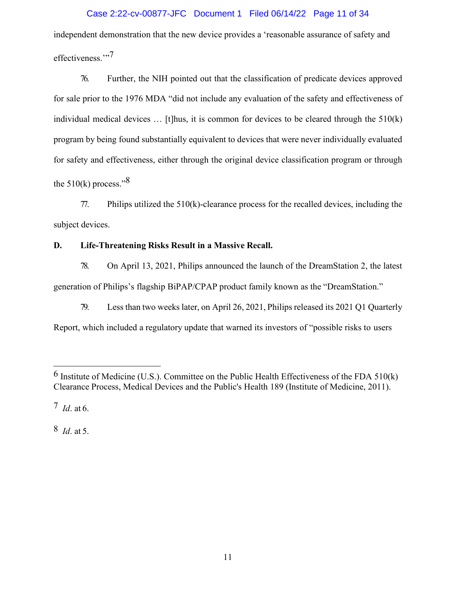# Case 2:22-cv-00877-JFC Document 1 Filed 06/14/22 Page 11 of 34

independent demonstration that the new device provides a 'reasonable assurance of safety and effectiveness."<sup>7</sup>

76. Further, the NIH pointed out that the classification of predicate devices approved for sale prior to the 1976 MDA "did not include any evaluation of the safety and effectiveness of individual medical devices … [t]hus, it is common for devices to be cleared through the 510(k) program by being found substantially equivalent to devices that were never individually evaluated for safety and effectiveness, either through the original device classification program or through the  $510(k)$  process." $8$ 

77. Philips utilized the 510(k)-clearance process for the recalled devices, including the subject devices.

# **D. Life-Threatening Risks Result in a Massive Recall.**

78. On April 13, 2021, Philips announced the launch of the DreamStation 2, the latest generation of Philips's flagship BiPAP/CPAP product family known as the "DreamStation."

79. Less than two weeks later, on April 26, 2021, Philips released its 2021 Q1 Quarterly Report, which included a regulatory update that warned its investors of "possible risks to users

<span id="page-10-1"></span><span id="page-10-0"></span>7 *Id*. at 6.

8 *Id*. at 5.

 $6$  Institute of Medicine (U.S.). Committee on the Public Health Effectiveness of the FDA 510(k) Clearance Process, Medical Devices and the Public's Health 189 (Institute of [Medicine, 2](https://www.google.com/search?hl=en&gbpv=1&dq=%22The%2B510(k)-clearance%2Bprocess%2Bis%2Bnot%2Bintended%2Bto%2Bevaluate%2Bthe%2Bsafety%2Band%2Beffectiveness%2Bof%2Bmedical%2Bdevices%2Bwith%2Bsome%2Bexceptions.%2BThe%2B510(k)%2Bprocess%2Bcannot%2Bbe%2Btransformed%2Binto%2Ba%2Bpre-market%22&pg=PA193&printsec=frontcover&q=inauthor%3A%22Institute%2Bof%2BMedicine%22&tbm=bks&sa=X&ved=2ahUKEwjdjvGsyvLyAhUhT98KHd5yC44QmxMoAXoECAoQAw)011).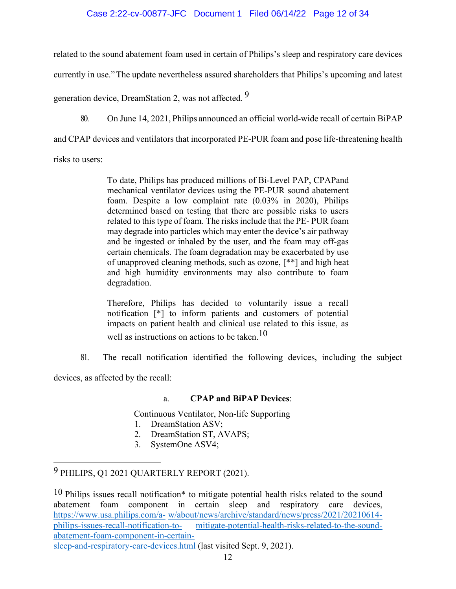# Case 2:22-cv-00877-JFC Document 1 Filed 06/14/22 Page 12 of 34

related to the sound abatement foam used in certain of Philips's sleep and respiratory care devices

currently in use."The update nevertheless assured shareholders that Philips's upcoming and latest

generation device, DreamStation 2, was not affected. [9](#page-11-0)

80. On June 14, 2021, Philips announced an official world-wide recall of certain BiPAP

and CPAP devices and ventilators that incorporated PE-PUR foam and pose life-threatening health

risks to users:

To date, Philips has produced millions of Bi-Level PAP, CPAPand mechanical ventilator devices using the PE-PUR sound abatement foam. Despite a low complaint rate (0.03% in 2020), Philips determined based on testing that there are possible risks to users related to this type of foam. The risks include that the PE- PUR foam may degrade into particles which may enter the device's air pathway and be ingested or inhaled by the user, and the foam may off-gas certain chemicals. The foam degradation may be exacerbated by use of unapproved cleaning methods, such as ozone, [\*\*] and high heat and high humidity environments may also contribute to foam degradation.

Therefore, Philips has decided to voluntarily issue a recall notification [\*] to inform patients and customers of potential impacts on patient health and clinical use related to this issue, as well as instructions on actions to be taken.<sup>10</sup>

81. The recall notification identified the following devices, including the subject

devices, as affected by the recall:

## a. **CPAP and BiPAP Devices**:

Continuous Ventilator, Non-life Supporting

- 1. DreamStation ASV;
- 2. DreamStation ST, AVAPS;
- 3. SystemOne ASV4;

<span id="page-11-1"></span><span id="page-11-0"></span>9 PHILIPS, Q1 2021 QUARTERLY REPORT (2021).

[sleep-and-respiratory-care-devices.html](https://www.usa.philips.com/a-w/about/news/archive/standard/news/press/2021/20210614-philips-issues-recall-notification-to-mitigate-potential-health-risks-related-to-the-sound-abatement-foam-component-in-certain-sleep-and-respiratory-care-devices.html) (last visited Sept. 9, 2021).

 $10$  Philips issues recall notification\* to mitigate potential health risks related to the sound abatement foam component in certain sleep and respiratory care devices, [https://www.usa.philips.com/a-](https://www.usa.philips.com/a-w/about/news/archive/standard/news/press/2021/20210614-philips-issues-recall-notification-to-mitigate-potential-health-risks-related-to-the-sound-abatement-foam-component-in-certain-sleep-and-respiratory-care-devices.html) [w/about/news/archive/standard/news/press/2021/20210614](https://www.usa.philips.com/a-w/about/news/archive/standard/news/press/2021/20210614-philips-issues-recall-notification-to-mitigate-potential-health-risks-related-to-the-sound-abatement-foam-component-in-certain-sleep-and-respiratory-care-devices.html) [philips-issues-recall-notification-to-](https://www.usa.philips.com/a-w/about/news/archive/standard/news/press/2021/20210614-philips-issues-recall-notification-to-mitigate-potential-health-risks-related-to-the-sound-abatement-foam-component-in-certain-sleep-and-respiratory-care-devices.html) [mitigate-potential-health-risks-related-to-the-sound](https://www.usa.philips.com/a-w/about/news/archive/standard/news/press/2021/20210614-philips-issues-recall-notification-to-mitigate-potential-health-risks-related-to-the-sound-abatement-foam-component-in-certain-sleep-and-respiratory-care-devices.html)[abatement-foam-component-in-certain-](https://www.usa.philips.com/a-w/about/news/archive/standard/news/press/2021/20210614-philips-issues-recall-notification-to-mitigate-potential-health-risks-related-to-the-sound-abatement-foam-component-in-certain-sleep-and-respiratory-care-devices.html)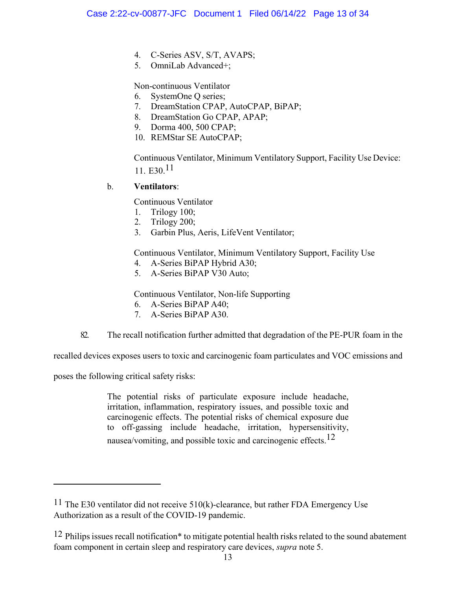- 4. C-Series ASV, S/T, AVAPS;
- 5. OmniLab Advanced+;

Non-continuous Ventilator

- 6. SystemOne Q series;
- 7. DreamStation CPAP, AutoCPAP, BiPAP;
- 8. DreamStation Go CPAP, APAP;
- 9. Dorma 400, 500 CPAP;
- 10. REMStar SE AutoCPAP;

Continuous Ventilator, Minimum Ventilatory Support, Facility Use Device: 11. E30  $11$ 

## b. **Ventilators**:

Continuous Ventilator

- 1. Trilogy 100;
- 2. Trilogy 200;
- 3. Garbin Plus, Aeris, LifeVent Ventilator;

Continuous Ventilator, Minimum Ventilatory Support, Facility Use

- 4. A-Series BiPAP Hybrid A30;
- 5. A-Series BiPAP V30 Auto;

Continuous Ventilator, Non-life Supporting

- 6. A-Series BiPAP A40;
- 7. A-Series BiPAP A30.
- 82. The recall notification further admitted that degradation of the PE-PUR foam in the

recalled devices exposes users to toxic and carcinogenic foam particulates and VOC emissions and

poses the following critical safety risks:

The potential risks of particulate exposure include headache, irritation, inflammation, respiratory issues, and possible toxic and carcinogenic effects. The potential risks of chemical exposure due to off-gassing include headache, irritation, hypersensitivity, nausea/vomiting, and possible toxic and carcinogenic effects.  $^{12}$ 

<span id="page-12-0"></span><sup>&</sup>lt;sup>11</sup> The E30 ventilator did not receive 510(k)-clearance, but rather FDA Emergency Use Authorization as a result of the COVID-19 pandemic.

<span id="page-12-1"></span> $12$  Philips issues recall notification\* to mitigate potential health risks related to the sound abatement foam component in certain sleep and respiratory care devices, *supra* note 5.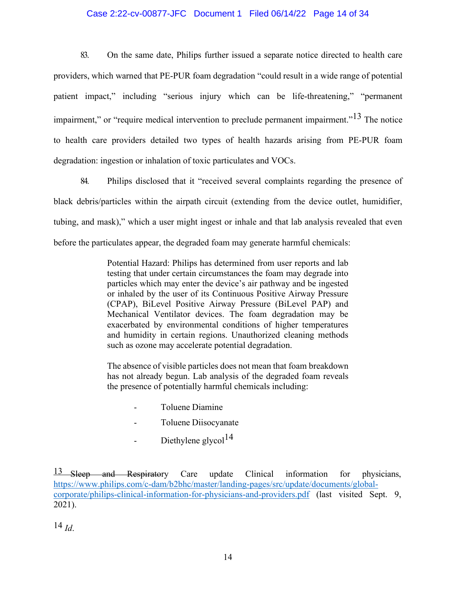## Case 2:22-cv-00877-JFC Document 1 Filed 06/14/22 Page 14 of 34

83. On the same date, Philips further issued a separate notice directed to health care providers, which warned that PE-PUR foam degradation "could result in a wide range of potential patient impact," including "serious injury which can be life-threatening," "permanent impairment," or "require medical intervention to preclude permanent impairment."<sup>13</sup> The notice to health care providers detailed two types of health hazards arising from PE-PUR foam degradation: ingestion or inhalation of toxic particulates and VOCs.

84. Philips disclosed that it "received several complaints regarding the presence of black debris/particles within the airpath circuit (extending from the device outlet, humidifier, tubing, and mask)," which a user might ingest or inhale and that lab analysis revealed that even before the particulates appear, the degraded foam may generate harmful chemicals:

> Potential Hazard: Philips has determined from user reports and lab testing that under certain circumstances the foam may degrade into particles which may enter the device's air pathway and be ingested or inhaled by the user of its Continuous Positive Airway Pressure (CPAP), BiLevel Positive Airway Pressure (BiLevel PAP) and Mechanical Ventilator devices. The foam degradation may be exacerbated by environmental conditions of higher temperatures and humidity in certain regions. Unauthorized cleaning methods such as ozone may accelerate potential degradation.

> The absence of visible particles does not mean that foam breakdown has not already begun. Lab analysis of the degraded foam reveals the presence of potentially harmful chemicals including:

- Toluene Diamine
- Toluene Diisocyanate
- Diethylene glycol $14$

<span id="page-13-1"></span>14 *Id*.

<span id="page-13-0"></span><sup>13</sup> Sleep and Respiratory Care update Clinical information for physicians, [https://www.philips.com/c-dam/b2bhc/master/landing-pages/src/update/documents/global](https://www.philips.com/c-dam/b2bhc/master/landing-pages/src/update/documents/global-corporate/philips-clinical-information-for-physicians-and-providers.pdf)[corporate/philips-clinical-information-for-physicians-and-providers.pdf](https://www.philips.com/c-dam/b2bhc/master/landing-pages/src/update/documents/global-corporate/philips-clinical-information-for-physicians-and-providers.pdf) (last visited Sept. 9, 2021).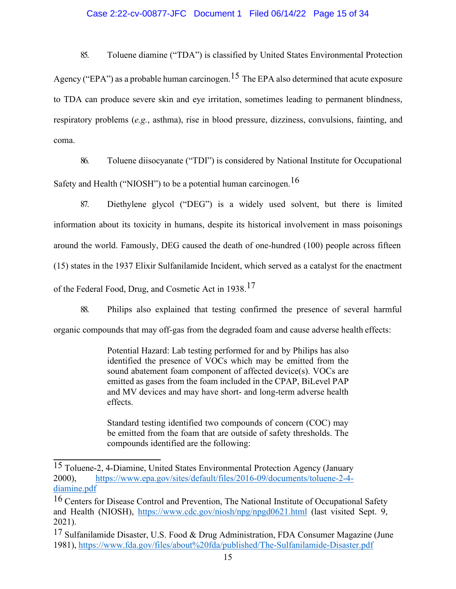# Case 2:22-cv-00877-JFC Document 1 Filed 06/14/22 Page 15 of 34

85. Toluene diamine ("TDA") is classified by United States Environmental Protection Agency ("EPA") as a probable human carcinogen.<sup>[15](#page-14-0)</sup> The EPA also determined that acute exposure to TDA can produce severe skin and eye irritation, sometimes leading to permanent blindness, respiratory problems (*e.g.*, asthma), rise in blood pressure, dizziness, convulsions, fainting, and coma.

86. Toluene diisocyanate ("TDI") is considered by National Institute for Occupational Safety and Health ("NIOSH") to be a potential human carcinogen.<sup>[16](#page-14-1)</sup>

87. Diethylene glycol ("DEG") is a widely used solvent, but there is limited information about its toxicity in humans, despite its historical involvement in mass poisonings around the world. Famously, DEG caused the death of one-hundred (100) people across fifteen (15) states in the 1937 Elixir Sulfanilamide Incident, which served as a catalyst for the enactment of the Federal Food, Drug, and Cosmetic Act in 1938[.17](#page-14-2)

88. Philips also explained that testing confirmed the presence of several harmful organic compounds that may off-gas from the degraded foam and cause adverse health effects:

> Potential Hazard: Lab testing performed for and by Philips has also identified the presence of VOCs which may be emitted from the sound abatement foam component of affected device(s). VOCs are emitted as gases from the foam included in the CPAP, BiLevel PAP and MV devices and may have short- and long-term adverse health effects.

> Standard testing identified two compounds of concern (COC) may be emitted from the foam that are outside of safety thresholds. The compounds identified are the following:

<span id="page-14-0"></span><sup>15</sup> Toluene-2, 4-Diamine, United States Environmental Protection Agency (January 2000), [https://www.epa.gov/sites/default/files/2016-09/documents/toluene-2-4](https://www.epa.gov/sites/default/files/2016-09/documents/toluene-2-4-diamine.pdf) [diamine.pdf](https://www.epa.gov/sites/default/files/2016-09/documents/toluene-2-4-diamine.pdf)

<span id="page-14-1"></span><sup>16</sup> Centers for Disease Control and Prevention, The National Institute of Occupational Safety and Health (NIOSH), <https://www.cdc.gov/niosh/npg/npgd0621.html> (last visited Sept. 9, 2021).

<span id="page-14-2"></span><sup>17</sup> Sulfanilamide Disaster, U.S. Food & Drug Administration, FDA Consumer Magazine (June 1981), <https://www.fda.gov/files/about%20fda/published/The-Sulfanilamide-Disaster.pdf>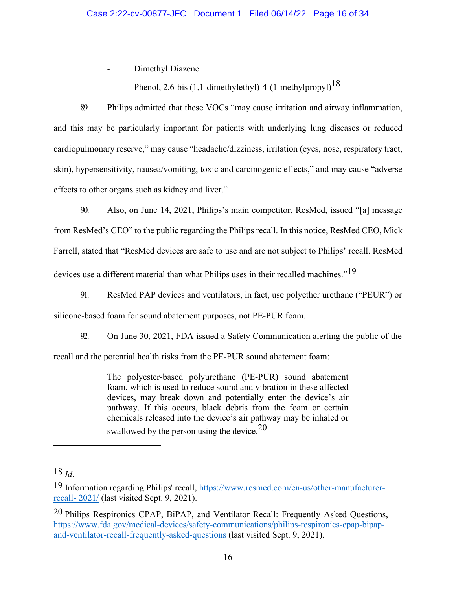- Dimethyl Diazene
- Phenol, 2,6-bis (1,1-dimethylethyl)-4-(1-methylpropyl)<sup>18</sup>

89. Philips admitted that these VOCs "may cause irritation and airway inflammation, and this may be particularly important for patients with underlying lung diseases or reduced cardiopulmonary reserve," may cause "headache/dizziness, irritation (eyes, nose, respiratory tract, skin), hypersensitivity, nausea/vomiting, toxic and carcinogenic effects," and may cause "adverse effects to other organs such as kidney and liver."

90. Also, on June 14, 2021, Philips's main competitor, ResMed, issued "[a] message from ResMed's CEO" to the public regarding the Philips recall. In this notice, ResMed CEO, Mick Farrell, stated that "ResMed devices are safe to use and are not subject to Philips' recall. ResMed devices use a different material than what Philips uses in their recalled machines."<sup>19</sup>

91. ResMed PAP devices and ventilators, in fact, use polyether urethane ("PEUR") or silicone-based foam for sound abatement purposes, not PE-PUR foam.

92. On June 30, 2021, FDA issued a Safety Communication alerting the public of the recall and the potential health risks from the PE-PUR sound abatement foam:

> The polyester-based polyurethane (PE-PUR) sound abatement foam, which is used to reduce sound and vibration in these affected devices, may break down and potentially enter the device's air pathway. If this occurs, black debris from the foam or certain chemicals released into the device's air pathway may be inhaled or swallowed by the person using the device.  $20$

<span id="page-15-0"></span><sup>18</sup> *Id*.

<span id="page-15-1"></span><sup>19</sup> Information regarding Philips' recall, [https://www.resmed.com/en-us/other-manufacturer](https://www.resmed.com/en-us/other-manufacturer-recall-2021/)[recall-](https://www.resmed.com/en-us/other-manufacturer-recall-2021/) [2021/](https://www.resmed.com/en-us/other-manufacturer-recall-2021/) (last visited Sept. 9, 2021).

<span id="page-15-2"></span><sup>&</sup>lt;sup>20</sup> Philips Respironics CPAP, BiPAP, and Ventilator Recall: Frequently Asked Questions, [https://www.fda.gov/medical-devices/safety-communications/philips-respironics-cpap-bipap](https://www.fda.gov/medical-devices/safety-communications/philips-respironics-cpap-bipap-and-ventilator-recall-frequently-asked-questions)[and-ventilator-recall-frequently-asked-questions](https://www.fda.gov/medical-devices/safety-communications/philips-respironics-cpap-bipap-and-ventilator-recall-frequently-asked-questions) (last visited Sept. 9, 2021).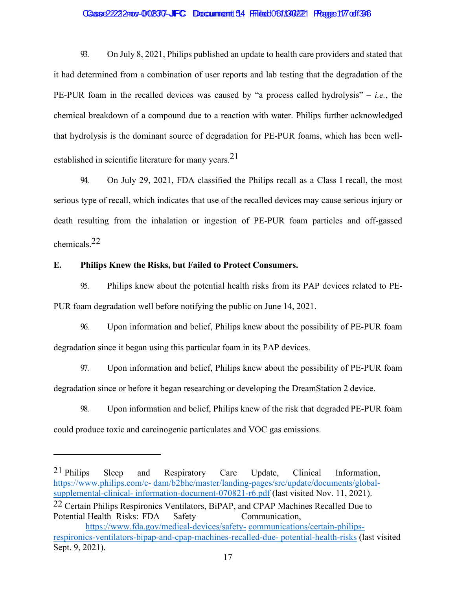## Case 222 2 2 2 0 0 2 3 0 - JFC Document 54 Filed 06/130 22 Page 117 of 336

93. On July 8, 2021, Philips published an update to health care providers and stated that it had determined from a combination of user reports and lab testing that the degradation of the PE-PUR foam in the recalled devices was caused by "a process called hydrolysis" – *i.e.*, the chemical breakdown of a compound due to a reaction with water. Philips further acknowledged that hydrolysis is the dominant source of degradation for PE-PUR foams, which has been wellestablished in scientific literature for many years.<sup>21</sup>

94. On July 29, 2021, FDA classified the Philips recall as a Class I recall, the most serious type of recall, which indicates that use of the recalled devices may cause serious injury or death resulting from the inhalation or ingestion of PE-PUR foam particles and off-gassed chemicals[.22](#page-16-1)

## **E. Philips Knew the Risks, but Failed to Protect Consumers.**

95. Philips knew about the potential health risks from its PAP devices related to PE-PUR foam degradation well before notifying the public on June 14, 2021.

96. Upon information and belief, Philips knew about the possibility of PE-PUR foam degradation since it began using this particular foam in its PAP devices.

97. Upon information and belief, Philips knew about the possibility of PE-PUR foam degradation since or before it began researching or developing the DreamStation 2 device.

98. Upon information and belief, Philips knew of the risk that degraded PE-PUR foam could produce toxic and carcinogenic particulates and VOC gas emissions.

<span id="page-16-0"></span><sup>21</sup> Philips Sleep and Respiratory Care Update, Clinical Information, [https://www.philips.com/c-](https://www.philips.com/c-dam/b2bhc/master/landing-pages/src/update/documents/global-supplemental-clinical-information-document-070821-r6.pdf) [dam/b2bhc/master/landing-pages/src/update/documents/global](https://www.philips.com/c-dam/b2bhc/master/landing-pages/src/update/documents/global-supplemental-clinical-information-document-070821-r6.pdf)[supplemental-clinical-](https://www.philips.com/c-dam/b2bhc/master/landing-pages/src/update/documents/global-supplemental-clinical-information-document-070821-r6.pdf) [information-document-070821-r6.pdf](https://www.philips.com/c-dam/b2bhc/master/landing-pages/src/update/documents/global-supplemental-clinical-information-document-070821-r6.pdf) (last visited Nov. 11, 2021).

<span id="page-16-1"></span><sup>&</sup>lt;sup>22</sup> Certain Philips Respironics Ventilators, BiPAP, and CPAP Machines Recalled Due to Potential Health Risks: FDA Safety Communication. Potential Health Risks: FDA Safety

[https://www.fda.gov/medical-devices/safety-](https://www.fda.gov/medical-devices/safety-communications/certain-philips-respironics-ventilators-bipap-and-cpap-machines-recalled-due-potential-health-risks) [communications/certain-philips](https://www.fda.gov/medical-devices/safety-communications/certain-philips-respironics-ventilators-bipap-and-cpap-machines-recalled-due-potential-health-risks)[respironics-ventilators-bipap-and-cpap-machines-recalled-due-](https://www.fda.gov/medical-devices/safety-communications/certain-philips-respironics-ventilators-bipap-and-cpap-machines-recalled-due-potential-health-risks) [potential-health-risks](https://www.fda.gov/medical-devices/safety-communications/certain-philips-respironics-ventilators-bipap-and-cpap-machines-recalled-due-potential-health-risks) (last visited Sept. 9, 2021).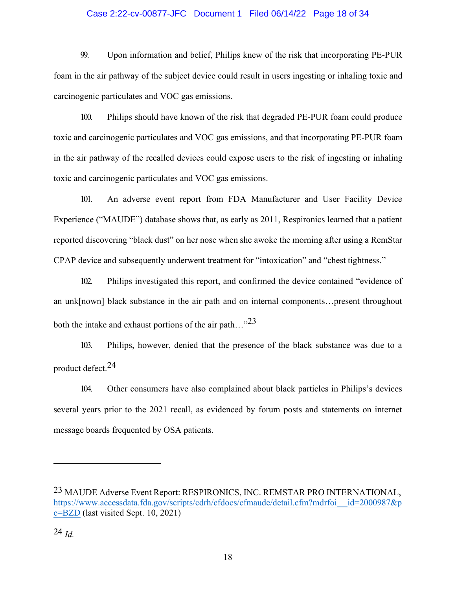## Case 2:22-cv-00877-JFC Document 1 Filed 06/14/22 Page 18 of 34

99. Upon information and belief, Philips knew of the risk that incorporating PE-PUR foam in the air pathway of the subject device could result in users ingesting or inhaling toxic and carcinogenic particulates and VOC gas emissions.

100. Philips should have known of the risk that degraded PE-PUR foam could produce toxic and carcinogenic particulates and VOC gas emissions, and that incorporating PE-PUR foam in the air pathway of the recalled devices could expose users to the risk of ingesting or inhaling toxic and carcinogenic particulates and VOC gas emissions.

101. An adverse event report from FDA Manufacturer and User Facility Device Experience ("MAUDE") database shows that, as early as 2011, Respironics learned that a patient reported discovering "black dust" on her nose when she awoke the morning after using a RemStar CPAP device and subsequently underwent treatment for "intoxication" and "chest tightness."

102. Philips investigated this report, and confirmed the device contained "evidence of an unk[nown] black substance in the air path and on internal components…present throughout both the intake and exhaust portions of the air path..." $^{23}$ 

103. Philips, however, denied that the presence of the black substance was due to a product defect[.24](#page-17-1)

104. Other consumers have also complained about black particles in Philips's devices several years prior to the 2021 recall, as evidenced by forum posts and statements on internet message boards frequented by OSA patients.

<span id="page-17-0"></span><sup>23</sup> MAUDE Adverse Event Report: RESPIRONICS, INC. REMSTAR PRO INTERNATIONAL, [https://www.accessdata.fda.gov/scripts/cdrh/cfdocs/cfmaude/detail.cfm?mdrfoi](https://www.accessdata.fda.gov/scripts/cdrh/cfdocs/cfmaude/detail.cfm?mdrfoi__id=2000987&pc=BZD) id=2000987&p [c=BZD](https://www.accessdata.fda.gov/scripts/cdrh/cfdocs/cfmaude/detail.cfm?mdrfoi__id=2000987&pc=BZD) (last visited Sept. 10, 2021)

<span id="page-17-1"></span><sup>24</sup> *Id.*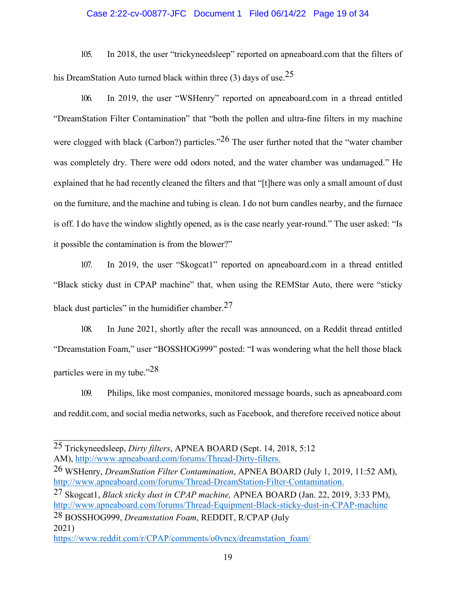# Case 2:22-cv-00877-JFC Document 1 Filed 06/14/22 Page 19 of 34

105. In 2018, the user "trickyneedsleep" reported on apneaboard.com that the filters of his DreamStation Auto turned black within three (3) days of use.<sup>25</sup>

106. In 2019, the user "WSHenry" reported on apneaboard.com in a thread entitled "DreamStation Filter Contamination" that "both the pollen and ultra-fine filters in my machine were clogged with black (Carbon?) particles."  $^{26}$  The user further noted that the "water chamber" was completely dry. There were odd odors noted, and the water chamber was undamaged." He explained that he had recently cleaned the filters and that "[t]here was only a small amount of dust on the furniture, and the machine and tubing is clean. I do not burn candles nearby, and the furnace is off. I do have the window slightly opened, as is the case nearly year-round." The user asked: "Is it possible the contamination is from the blower?"

107. In 2019, the user "Skogcat1" reported on apneaboard.com in a thread entitled "Black sticky dust in CPAP machine" that, when using the REMStar Auto, there were "sticky black dust particles" in the humidifier chamber. $27$ 

108. In June 2021, shortly after the recall was announced, on a Reddit thread entitled "Dreamstation Foam," user "BOSSHOG999" posted: "I was wondering what the hell those black particles were in my tube.["28](#page-18-3)

109. Philips, like most companies, monitored message boards, such as apneaboard.com and reddit.com, and social media networks, such as Facebook, and therefore received notice about

<span id="page-18-3"></span><span id="page-18-2"></span>27 Skogcat1, *Black sticky dust in CPAP machine,* APNEA BOARD (Jan. 22, 2019, 3:33 PM), <http://www.apneaboard.com/forums/Thread-Equipment-Black-sticky-dust-in-CPAP-machine> 28 BOSSHOG999, *Dreamstation Foam*, REDDIT, R/CPAP (July 2021)

<span id="page-18-0"></span><sup>25</sup> Trickyneedsleep, *Dirty filters*, APNEA BOARD (Sept. 14, 2018, 5:12 AM), [http://www.apneaboard.com/forums/Thread-Dirty-filters.](http://www.apneaboard.com/forums/Thread-Dirty-filters)

<span id="page-18-1"></span><sup>26</sup> WSHenry, *DreamStation Filter Contamination*, APNEA BOARD (July 1, 2019, 11:52 AM), [http://www.apneaboard.com/forums/Thread-DreamStation-Filter-Contamination.](http://www.apneaboard.com/forums/Thread-DreamStation-Filter-Contamination)

[https://www.reddit.com/r/CPAP/comments/o0vncx/dreamstation\\_foam/](https://www.reddit.com/r/CPAP/comments/o0vncx/dreamstation_foam/)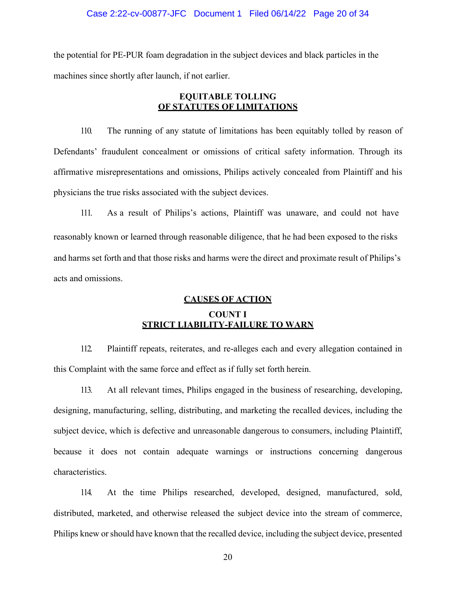#### Case 2:22-cv-00877-JFC Document 1 Filed 06/14/22 Page 20 of 34

the potential for PE-PUR foam degradation in the subject devices and black particles in the machines since shortly after launch, if not earlier.

## **EQUITABLE TOLLING OF STATUTES OF LIMITATIONS**

110. The running of any statute of limitations has been equitably tolled by reason of Defendants' fraudulent concealment or omissions of critical safety information. Through its affirmative misrepresentations and omissions, Philips actively concealed from Plaintiff and his physicians the true risks associated with the subject devices.

111. As a result of Philips's actions, Plaintiff was unaware, and could not have reasonably known or learned through reasonable diligence, that he had been exposed to the risks and harms set forth and that those risks and harms were the direct and proximate result of Philips's acts and omissions.

# **CAUSES OF ACTION COUNT I STRICT LIABILITY-FAILURE TO WARN**

112. Plaintiff repeats, reiterates, and re-alleges each and every allegation contained in this Complaint with the same force and effect as if fully set forth herein.

113. At all relevant times, Philips engaged in the business of researching, developing, designing, manufacturing, selling, distributing, and marketing the recalled devices, including the subject device, which is defective and unreasonable dangerous to consumers, including Plaintiff, because it does not contain adequate warnings or instructions concerning dangerous characteristics.

114. At the time Philips researched, developed, designed, manufactured, sold, distributed, marketed, and otherwise released the subject device into the stream of commerce, Philips knew orshould have known that the recalled device, including the subject device, presented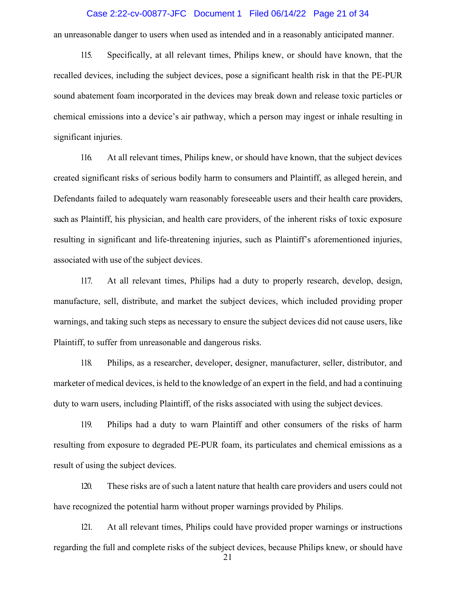## Case 2:22-cv-00877-JFC Document 1 Filed 06/14/22 Page 21 of 34

an unreasonable danger to users when used as intended and in a reasonably anticipated manner.

115. Specifically, at all relevant times, Philips knew, or should have known, that the recalled devices, including the subject devices, pose a significant health risk in that the PE-PUR sound abatement foam incorporated in the devices may break down and release toxic particles or chemical emissions into a device's air pathway, which a person may ingest or inhale resulting in significant injuries.

116. At all relevant times, Philips knew, or should have known, that the subject devices created significant risks of serious bodily harm to consumers and Plaintiff, as alleged herein, and Defendants failed to adequately warn reasonably foreseeable users and their health care providers, such as Plaintiff, his physician, and health care providers, of the inherent risks of toxic exposure resulting in significant and life-threatening injuries, such as Plaintiff's aforementioned injuries, associated with use of the subject devices.

117. At all relevant times, Philips had a duty to properly research, develop, design, manufacture, sell, distribute, and market the subject devices, which included providing proper warnings, and taking such steps as necessary to ensure the subject devices did not cause users, like Plaintiff, to suffer from unreasonable and dangerous risks.

118. Philips, as a researcher, developer, designer, manufacturer, seller, distributor, and marketer of medical devices, is held to the knowledge of an expert in the field, and had a continuing duty to warn users, including Plaintiff, of the risks associated with using the subject devices.

119. Philips had a duty to warn Plaintiff and other consumers of the risks of harm resulting from exposure to degraded PE-PUR foam, its particulates and chemical emissions as a result of using the subject devices.

120. These risks are of such a latent nature that health care providers and users could not have recognized the potential harm without proper warnings provided by Philips.

21 121. At all relevant times, Philips could have provided proper warnings or instructions regarding the full and complete risks of the subject devices, because Philips knew, or should have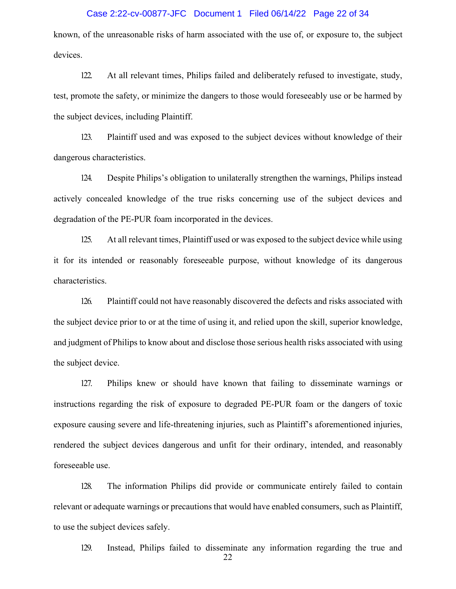#### Case 2:22-cv-00877-JFC Document 1 Filed 06/14/22 Page 22 of 34

known, of the unreasonable risks of harm associated with the use of, or exposure to, the subject devices.

122. At all relevant times, Philips failed and deliberately refused to investigate, study, test, promote the safety, or minimize the dangers to those would foreseeably use or be harmed by the subject devices, including Plaintiff.

123. Plaintiff used and was exposed to the subject devices without knowledge of their dangerous characteristics.

124. Despite Philips's obligation to unilaterally strengthen the warnings, Philips instead actively concealed knowledge of the true risks concerning use of the subject devices and degradation of the PE-PUR foam incorporated in the devices.

125. At all relevant times, Plaintiff used or was exposed to the subject device while using it for its intended or reasonably foreseeable purpose, without knowledge of its dangerous characteristics.

126. Plaintiff could not have reasonably discovered the defects and risks associated with the subject device prior to or at the time of using it, and relied upon the skill, superior knowledge, and judgment of Philips to know about and disclose those serious health risks associated with using the subject device.

127. Philips knew or should have known that failing to disseminate warnings or instructions regarding the risk of exposure to degraded PE-PUR foam or the dangers of toxic exposure causing severe and life-threatening injuries, such as Plaintiff's aforementioned injuries, rendered the subject devices dangerous and unfit for their ordinary, intended, and reasonably foreseeable use.

128. The information Philips did provide or communicate entirely failed to contain relevant or adequate warnings or precautions that would have enabled consumers, such as Plaintiff, to use the subject devices safely.

129. Instead, Philips failed to disseminate any information regarding the true and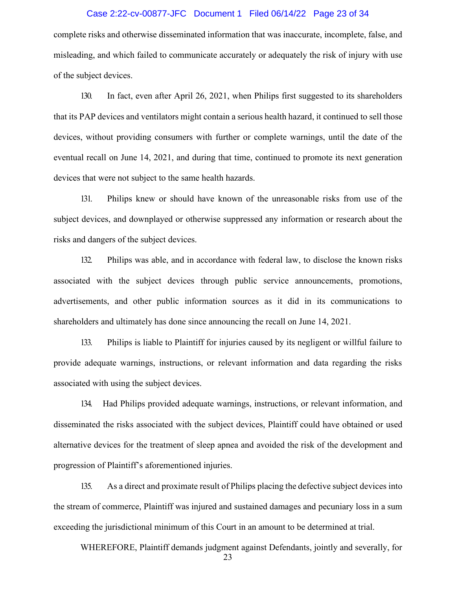# Case 2:22-cv-00877-JFC Document 1 Filed 06/14/22 Page 23 of 34

complete risks and otherwise disseminated information that was inaccurate, incomplete, false, and misleading, and which failed to communicate accurately or adequately the risk of injury with use of the subject devices.

130. In fact, even after April 26, 2021, when Philips first suggested to its shareholders that its PAP devices and ventilators might contain a serious health hazard, it continued to sell those devices, without providing consumers with further or complete warnings, until the date of the eventual recall on June 14, 2021, and during that time, continued to promote its next generation devices that were not subject to the same health hazards.

131. Philips knew or should have known of the unreasonable risks from use of the subject devices, and downplayed or otherwise suppressed any information or research about the risks and dangers of the subject devices.

132. Philips was able, and in accordance with federal law, to disclose the known risks associated with the subject devices through public service announcements, promotions, advertisements, and other public information sources as it did in its communications to shareholders and ultimately has done since announcing the recall on June 14, 2021.

133. Philips is liable to Plaintiff for injuries caused by its negligent or willful failure to provide adequate warnings, instructions, or relevant information and data regarding the risks associated with using the subject devices.

134. Had Philips provided adequate warnings, instructions, or relevant information, and disseminated the risks associated with the subject devices, Plaintiff could have obtained or used alternative devices for the treatment of sleep apnea and avoided the risk of the development and progression of Plaintiff's aforementioned injuries.

135. As a direct and proximate result of Philips placing the defective subject devices into the stream of commerce, Plaintiff was injured and sustained damages and pecuniary loss in a sum exceeding the jurisdictional minimum of this Court in an amount to be determined at trial.

23 WHEREFORE, Plaintiff demands judgment against Defendants, jointly and severally, for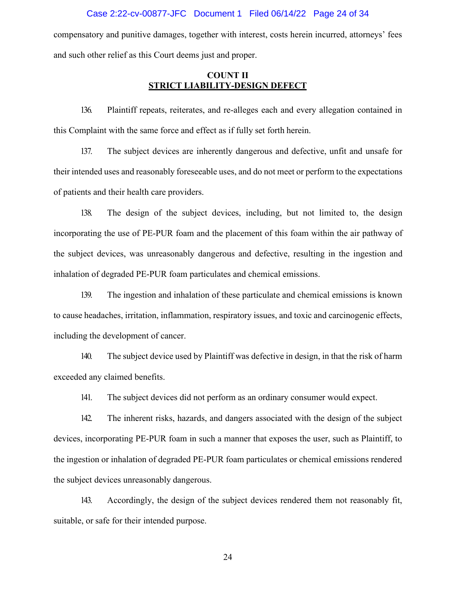#### Case 2:22-cv-00877-JFC Document 1 Filed 06/14/22 Page 24 of 34

compensatory and punitive damages, together with interest, costs herein incurred, attorneys' fees and such other relief as this Court deems just and proper.

# **COUNT II STRICT LIABILITY-DESIGN DEFECT**

136. Plaintiff repeats, reiterates, and re-alleges each and every allegation contained in this Complaint with the same force and effect as if fully set forth herein.

137. The subject devices are inherently dangerous and defective, unfit and unsafe for their intended uses and reasonably foreseeable uses, and do not meet or perform to the expectations of patients and their health care providers.

138. The design of the subject devices, including, but not limited to, the design incorporating the use of PE-PUR foam and the placement of this foam within the air pathway of the subject devices, was unreasonably dangerous and defective, resulting in the ingestion and inhalation of degraded PE-PUR foam particulates and chemical emissions.

139. The ingestion and inhalation of these particulate and chemical emissions is known to cause headaches, irritation, inflammation, respiratory issues, and toxic and carcinogenic effects, including the development of cancer.

140. The subject device used by Plaintiff was defective in design, in that the risk of harm exceeded any claimed benefits.

141. The subject devices did not perform as an ordinary consumer would expect.

142. The inherent risks, hazards, and dangers associated with the design of the subject devices, incorporating PE-PUR foam in such a manner that exposes the user, such as Plaintiff, to the ingestion or inhalation of degraded PE-PUR foam particulates or chemical emissions rendered the subject devices unreasonably dangerous.

143. Accordingly, the design of the subject devices rendered them not reasonably fit, suitable, or safe for their intended purpose.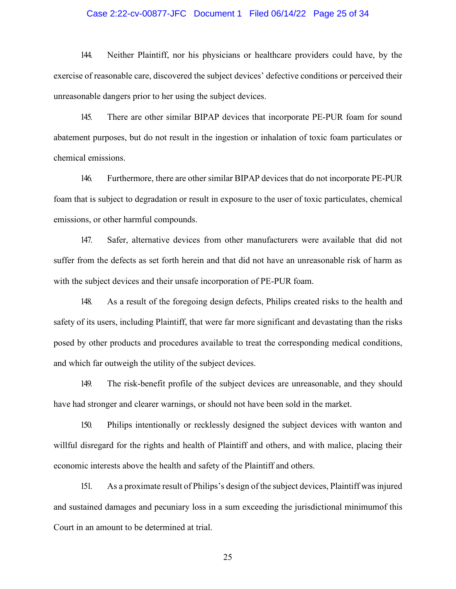### Case 2:22-cv-00877-JFC Document 1 Filed 06/14/22 Page 25 of 34

144. Neither Plaintiff, nor his physicians or healthcare providers could have, by the exercise of reasonable care, discovered the subject devices' defective conditions or perceived their unreasonable dangers prior to her using the subject devices.

145. There are other similar BIPAP devices that incorporate PE-PUR foam for sound abatement purposes, but do not result in the ingestion or inhalation of toxic foam particulates or chemical emissions.

146. Furthermore, there are other similar BIPAP devices that do not incorporate PE-PUR foam that is subject to degradation or result in exposure to the user of toxic particulates, chemical emissions, or other harmful compounds.

147. Safer, alternative devices from other manufacturers were available that did not suffer from the defects as set forth herein and that did not have an unreasonable risk of harm as with the subject devices and their unsafe incorporation of PE-PUR foam.

148. As a result of the foregoing design defects, Philips created risks to the health and safety of its users, including Plaintiff, that were far more significant and devastating than the risks posed by other products and procedures available to treat the corresponding medical conditions, and which far outweigh the utility of the subject devices.

149. The risk-benefit profile of the subject devices are unreasonable, and they should have had stronger and clearer warnings, or should not have been sold in the market.

150. Philips intentionally or recklessly designed the subject devices with wanton and willful disregard for the rights and health of Plaintiff and others, and with malice, placing their economic interests above the health and safety of the Plaintiff and others.

151. As a proximate result of Philips's design of the subject devices, Plaintiff was injured and sustained damages and pecuniary loss in a sum exceeding the jurisdictional minimumof this Court in an amount to be determined at trial.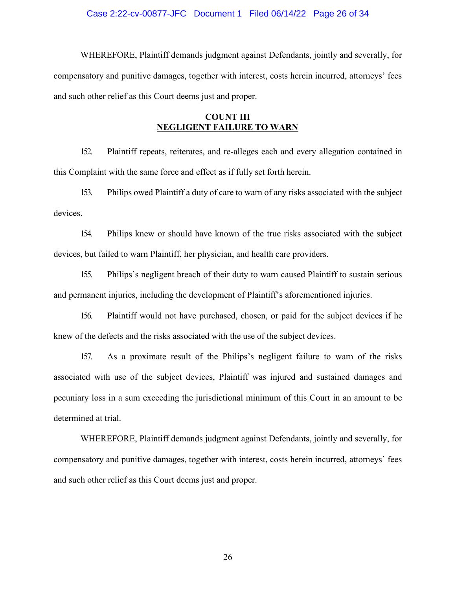#### Case 2:22-cv-00877-JFC Document 1 Filed 06/14/22 Page 26 of 34

WHEREFORE, Plaintiff demands judgment against Defendants, jointly and severally, for compensatory and punitive damages, together with interest, costs herein incurred, attorneys' fees and such other relief as this Court deems just and proper.

## **COUNT III NEGLIGENT FAILURE TO WARN**

152. Plaintiff repeats, reiterates, and re-alleges each and every allegation contained in this Complaint with the same force and effect as if fully set forth herein.

153. Philips owed Plaintiff a duty of care to warn of any risks associated with the subject devices.

154. Philips knew or should have known of the true risks associated with the subject devices, but failed to warn Plaintiff, her physician, and health care providers.

155. Philips's negligent breach of their duty to warn caused Plaintiff to sustain serious and permanent injuries, including the development of Plaintiff's aforementioned injuries.

156. Plaintiff would not have purchased, chosen, or paid for the subject devices if he knew of the defects and the risks associated with the use of the subject devices.

157. As a proximate result of the Philips's negligent failure to warn of the risks associated with use of the subject devices, Plaintiff was injured and sustained damages and pecuniary loss in a sum exceeding the jurisdictional minimum of this Court in an amount to be determined at trial.

WHEREFORE, Plaintiff demands judgment against Defendants, jointly and severally, for compensatory and punitive damages, together with interest, costs herein incurred, attorneys' fees and such other relief as this Court deems just and proper.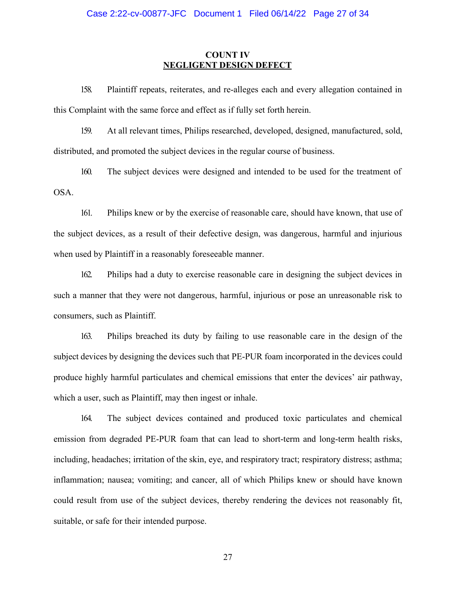## **COUNT IV NEGLIGENT DESIGN DEFECT**

158. Plaintiff repeats, reiterates, and re-alleges each and every allegation contained in this Complaint with the same force and effect as if fully set forth herein.

159. At all relevant times, Philips researched, developed, designed, manufactured, sold, distributed, and promoted the subject devices in the regular course of business.

160. The subject devices were designed and intended to be used for the treatment of OSA.

161. Philips knew or by the exercise of reasonable care, should have known, that use of the subject devices, as a result of their defective design, was dangerous, harmful and injurious when used by Plaintiff in a reasonably foreseeable manner.

162. Philips had a duty to exercise reasonable care in designing the subject devices in such a manner that they were not dangerous, harmful, injurious or pose an unreasonable risk to consumers, such as Plaintiff.

163. Philips breached its duty by failing to use reasonable care in the design of the subject devices by designing the devices such that PE-PUR foam incorporated in the devices could produce highly harmful particulates and chemical emissions that enter the devices' air pathway, which a user, such as Plaintiff, may then ingest or inhale.

164. The subject devices contained and produced toxic particulates and chemical emission from degraded PE-PUR foam that can lead to short-term and long-term health risks, including, headaches; irritation of the skin, eye, and respiratory tract; respiratory distress; asthma; inflammation; nausea; vomiting; and cancer, all of which Philips knew or should have known could result from use of the subject devices, thereby rendering the devices not reasonably fit, suitable, or safe for their intended purpose.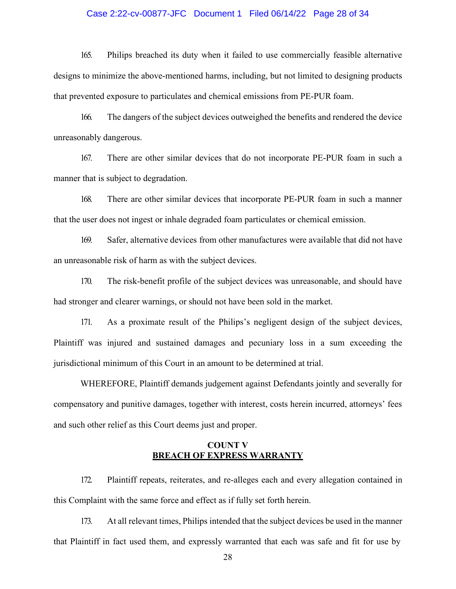### Case 2:22-cv-00877-JFC Document 1 Filed 06/14/22 Page 28 of 34

165. Philips breached its duty when it failed to use commercially feasible alternative designs to minimize the above-mentioned harms, including, but not limited to designing products that prevented exposure to particulates and chemical emissions from PE-PUR foam.

166. The dangers of the subject devices outweighed the benefits and rendered the device unreasonably dangerous.

167. There are other similar devices that do not incorporate PE-PUR foam in such a manner that is subject to degradation.

168. There are other similar devices that incorporate PE-PUR foam in such a manner that the user does not ingest or inhale degraded foam particulates or chemical emission.

169. Safer, alternative devices from other manufactures were available that did not have an unreasonable risk of harm as with the subject devices.

170. The risk-benefit profile of the subject devices was unreasonable, and should have had stronger and clearer warnings, or should not have been sold in the market.

171. As a proximate result of the Philips's negligent design of the subject devices, Plaintiff was injured and sustained damages and pecuniary loss in a sum exceeding the jurisdictional minimum of this Court in an amount to be determined at trial.

WHEREFORE, Plaintiff demands judgement against Defendants jointly and severally for compensatory and punitive damages, together with interest, costs herein incurred, attorneys' fees and such other relief as this Court deems just and proper.

## **COUNT V BREACH OF EXPRESS WARRANTY**

172. Plaintiff repeats, reiterates, and re-alleges each and every allegation contained in this Complaint with the same force and effect as if fully set forth herein.

173. At all relevant times, Philips intended that the subject devices be used in the manner that Plaintiff in fact used them, and expressly warranted that each was safe and fit for use by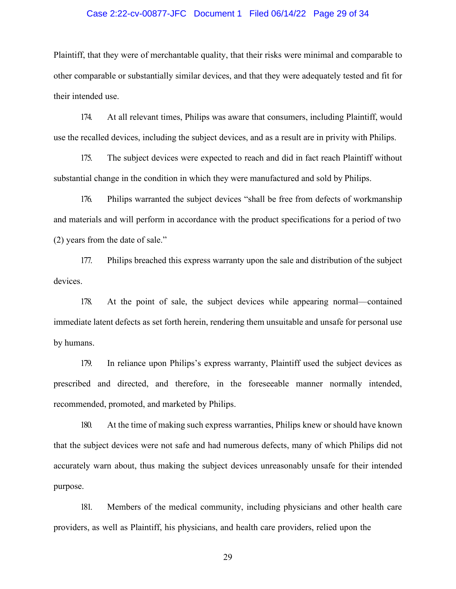#### Case 2:22-cv-00877-JFC Document 1 Filed 06/14/22 Page 29 of 34

Plaintiff, that they were of merchantable quality, that their risks were minimal and comparable to other comparable or substantially similar devices, and that they were adequately tested and fit for their intended use.

174. At all relevant times, Philips was aware that consumers, including Plaintiff, would use the recalled devices, including the subject devices, and as a result are in privity with Philips.

175. The subject devices were expected to reach and did in fact reach Plaintiff without substantial change in the condition in which they were manufactured and sold by Philips.

176. Philips warranted the subject devices "shall be free from defects of workmanship and materials and will perform in accordance with the product specifications for a period of two (2) years from the date of sale."

177. Philips breached this express warranty upon the sale and distribution of the subject devices.

178. At the point of sale, the subject devices while appearing normal—contained immediate latent defects as set forth herein, rendering them unsuitable and unsafe for personal use by humans.

179. In reliance upon Philips's express warranty, Plaintiff used the subject devices as prescribed and directed, and therefore, in the foreseeable manner normally intended, recommended, promoted, and marketed by Philips.

180. At the time of making such express warranties, Philips knew or should have known that the subject devices were not safe and had numerous defects, many of which Philips did not accurately warn about, thus making the subject devices unreasonably unsafe for their intended purpose.

181. Members of the medical community, including physicians and other health care providers, as well as Plaintiff, his physicians, and health care providers, relied upon the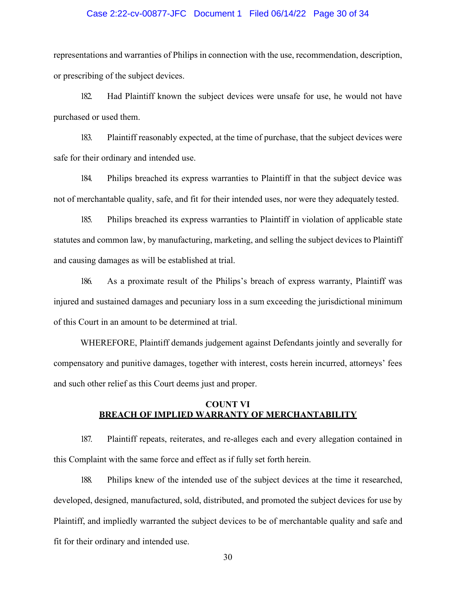#### Case 2:22-cv-00877-JFC Document 1 Filed 06/14/22 Page 30 of 34

representations and warranties of Philips in connection with the use, recommendation, description, or prescribing of the subject devices.

182. Had Plaintiff known the subject devices were unsafe for use, he would not have purchased or used them.

183. Plaintiff reasonably expected, at the time of purchase, that the subject devices were safe for their ordinary and intended use.

184. Philips breached its express warranties to Plaintiff in that the subject device was not of merchantable quality, safe, and fit for their intended uses, nor were they adequately tested.

185. Philips breached its express warranties to Plaintiff in violation of applicable state statutes and common law, by manufacturing, marketing, and selling the subject devices to Plaintiff and causing damages as will be established at trial.

186. As a proximate result of the Philips's breach of express warranty, Plaintiff was injured and sustained damages and pecuniary loss in a sum exceeding the jurisdictional minimum of this Court in an amount to be determined at trial.

WHEREFORE, Plaintiff demands judgement against Defendants jointly and severally for compensatory and punitive damages, together with interest, costs herein incurred, attorneys' fees and such other relief as this Court deems just and proper.

# **COUNT VI BREACH OF IMPLIED WARRANTY OF MERCHANTABILITY**

187. Plaintiff repeats, reiterates, and re-alleges each and every allegation contained in this Complaint with the same force and effect as if fully set forth herein.

188. Philips knew of the intended use of the subject devices at the time it researched, developed, designed, manufactured, sold, distributed, and promoted the subject devices for use by Plaintiff, and impliedly warranted the subject devices to be of merchantable quality and safe and fit for their ordinary and intended use.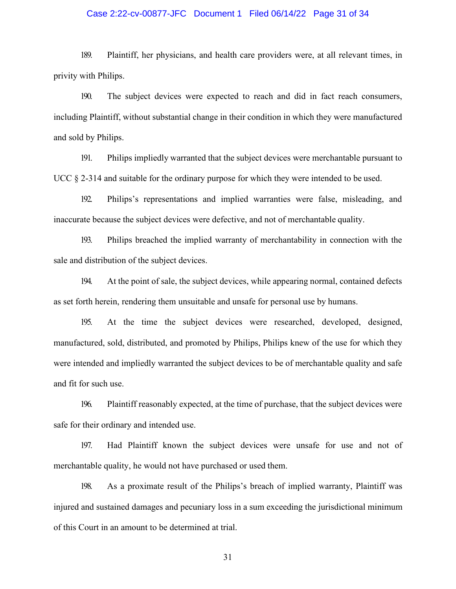## Case 2:22-cv-00877-JFC Document 1 Filed 06/14/22 Page 31 of 34

189. Plaintiff, her physicians, and health care providers were, at all relevant times, in privity with Philips.

190. The subject devices were expected to reach and did in fact reach consumers, including Plaintiff, without substantial change in their condition in which they were manufactured and sold by Philips.

191. Philips impliedly warranted that the subject devices were merchantable pursuant to UCC  $\S$  2-314 and suitable for the ordinary purpose for which they were intended to be used.

192. Philips's representations and implied warranties were false, misleading, and inaccurate because the subject devices were defective, and not of merchantable quality.

193. Philips breached the implied warranty of merchantability in connection with the sale and distribution of the subject devices.

194. At the point of sale, the subject devices, while appearing normal, contained defects as set forth herein, rendering them unsuitable and unsafe for personal use by humans.

195. At the time the subject devices were researched, developed, designed, manufactured, sold, distributed, and promoted by Philips, Philips knew of the use for which they were intended and impliedly warranted the subject devices to be of merchantable quality and safe and fit for such use.

196. Plaintiff reasonably expected, at the time of purchase, that the subject devices were safe for their ordinary and intended use.

197. Had Plaintiff known the subject devices were unsafe for use and not of merchantable quality, he would not have purchased or used them.

198. As a proximate result of the Philips's breach of implied warranty, Plaintiff was injured and sustained damages and pecuniary loss in a sum exceeding the jurisdictional minimum of this Court in an amount to be determined at trial.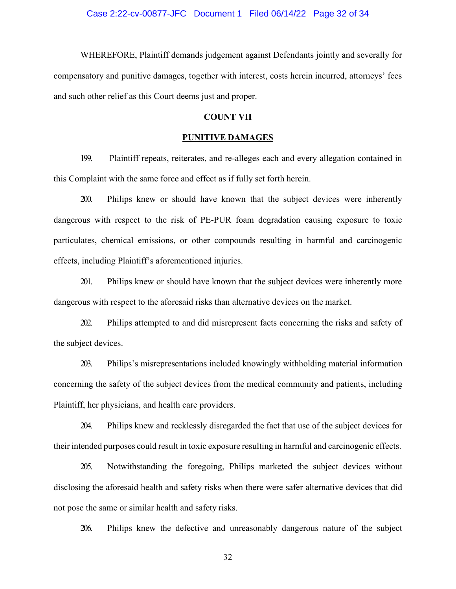#### Case 2:22-cv-00877-JFC Document 1 Filed 06/14/22 Page 32 of 34

WHEREFORE, Plaintiff demands judgement against Defendants jointly and severally for compensatory and punitive damages, together with interest, costs herein incurred, attorneys' fees and such other relief as this Court deems just and proper.

#### **COUNT VII**

#### **PUNITIVE DAMAGES**

199. Plaintiff repeats, reiterates, and re-alleges each and every allegation contained in this Complaint with the same force and effect as if fully set forth herein.

200. Philips knew or should have known that the subject devices were inherently dangerous with respect to the risk of PE-PUR foam degradation causing exposure to toxic particulates, chemical emissions, or other compounds resulting in harmful and carcinogenic effects, including Plaintiff's aforementioned injuries.

201. Philips knew or should have known that the subject devices were inherently more dangerous with respect to the aforesaid risks than alternative devices on the market.

202. Philips attempted to and did misrepresent facts concerning the risks and safety of the subject devices.

203. Philips's misrepresentations included knowingly withholding material information concerning the safety of the subject devices from the medical community and patients, including Plaintiff, her physicians, and health care providers.

204. Philips knew and recklessly disregarded the fact that use of the subject devices for their intended purposes could result in toxic exposure resulting in harmful and carcinogenic effects.

205. Notwithstanding the foregoing, Philips marketed the subject devices without disclosing the aforesaid health and safety risks when there were safer alternative devices that did not pose the same or similar health and safety risks.

206. Philips knew the defective and unreasonably dangerous nature of the subject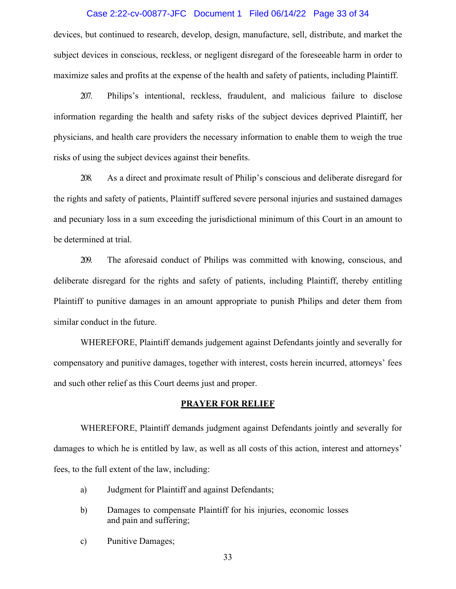#### Case 2:22-cv-00877-JFC Document 1 Filed 06/14/22 Page 33 of 34

devices, but continued to research, develop, design, manufacture, sell, distribute, and market the subject devices in conscious, reckless, or negligent disregard of the foreseeable harm in order to maximize sales and profits at the expense of the health and safety of patients, including Plaintiff.

207. Philips's intentional, reckless, fraudulent, and malicious failure to disclose information regarding the health and safety risks of the subject devices deprived Plaintiff, her physicians, and health care providers the necessary information to enable them to weigh the true risks of using the subject devices against their benefits.

208. As a direct and proximate result of Philip's conscious and deliberate disregard for the rights and safety of patients, Plaintiff suffered severe personal injuries and sustained damages and pecuniary loss in a sum exceeding the jurisdictional minimum of this Court in an amount to be determined at trial.

209. The aforesaid conduct of Philips was committed with knowing, conscious, and deliberate disregard for the rights and safety of patients, including Plaintiff, thereby entitling Plaintiff to punitive damages in an amount appropriate to punish Philips and deter them from similar conduct in the future.

WHEREFORE, Plaintiff demands judgement against Defendants jointly and severally for compensatory and punitive damages, together with interest, costs herein incurred, attorneys' fees and such other relief as this Court deems just and proper.

#### **PRAYER FOR RELIEF**

WHEREFORE, Plaintiff demands judgment against Defendants jointly and severally for damages to which he is entitled by law, as well as all costs of this action, interest and attorneys' fees, to the full extent of the law, including:

- a) Judgment for Plaintiff and against Defendants;
- b) Damages to compensate Plaintiff for his injuries, economic losses and pain and suffering;
- c) Punitive Damages;